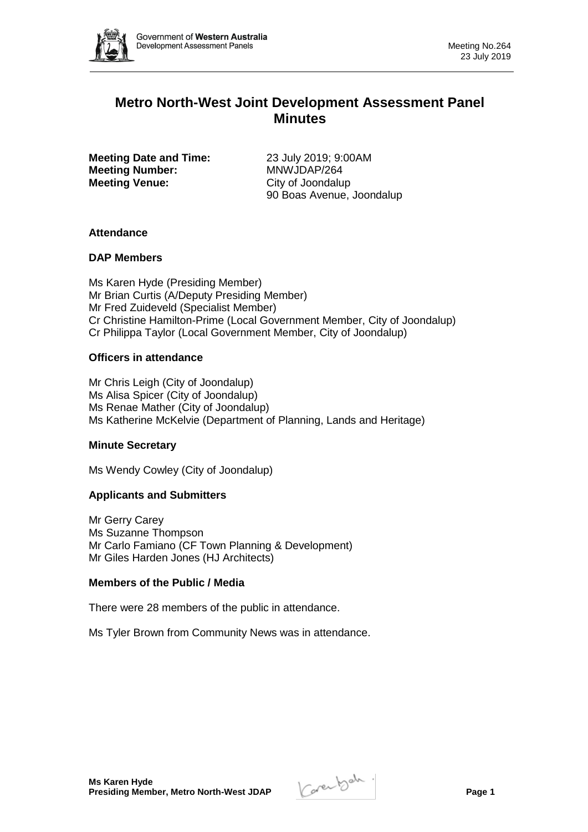

# **Metro North-West Joint Development Assessment Panel Minutes**

**Meeting Date and Time:** 23 July 2019; 9:00AM **Meeting Number:** MNWJDAP/264 **Meeting Venue:** City of Joondalup

90 Boas Avenue, Joondalup

# **Attendance**

### **DAP Members**

Ms Karen Hyde (Presiding Member) Mr Brian Curtis (A/Deputy Presiding Member) Mr Fred Zuideveld (Specialist Member) Cr Christine Hamilton-Prime (Local Government Member, City of Joondalup) Cr Philippa Taylor (Local Government Member, City of Joondalup)

# **Officers in attendance**

Mr Chris Leigh (City of Joondalup) Ms Alisa Spicer (City of Joondalup) Ms Renae Mather (City of Joondalup) Ms Katherine McKelvie (Department of Planning, Lands and Heritage)

# **Minute Secretary**

Ms Wendy Cowley (City of Joondalup)

# **Applicants and Submitters**

Mr Gerry Carey Ms Suzanne Thompson Mr Carlo Famiano (CF Town Planning & Development) Mr Giles Harden Jones (HJ Architects)

# **Members of the Public / Media**

There were 28 members of the public in attendance.

Ms Tyler Brown from Community News was in attendance.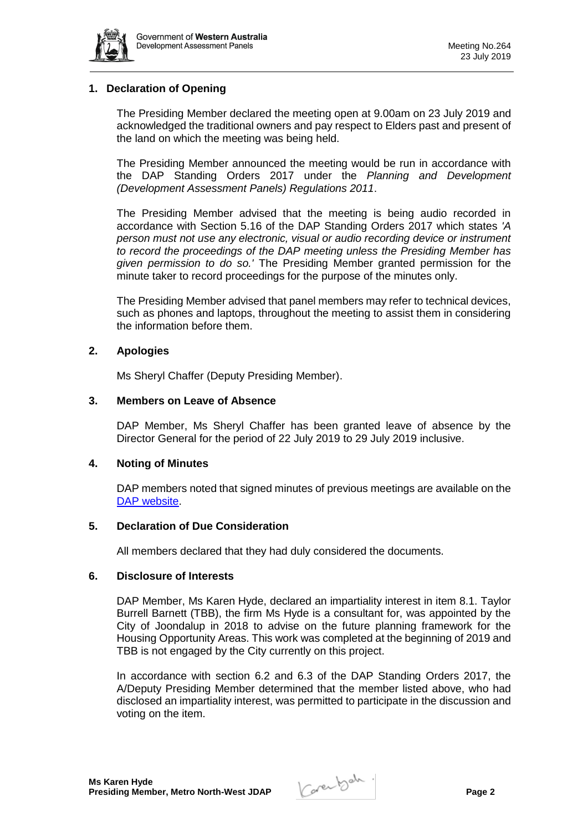

# **1. Declaration of Opening**

The Presiding Member declared the meeting open at 9.00am on 23 July 2019 and acknowledged the traditional owners and pay respect to Elders past and present of the land on which the meeting was being held.

The Presiding Member announced the meeting would be run in accordance with the DAP Standing Orders 2017 under the *Planning and Development (Development Assessment Panels) Regulations 2011*.

The Presiding Member advised that the meeting is being audio recorded in accordance with Section 5.16 of the DAP Standing Orders 2017 which states *'A person must not use any electronic, visual or audio recording device or instrument to record the proceedings of the DAP meeting unless the Presiding Member has given permission to do so.'* The Presiding Member granted permission for the minute taker to record proceedings for the purpose of the minutes only.

The Presiding Member advised that panel members may refer to technical devices, such as phones and laptops, throughout the meeting to assist them in considering the information before them.

### **2. Apologies**

Ms Sheryl Chaffer (Deputy Presiding Member).

### **3. Members on Leave of Absence**

DAP Member, Ms Sheryl Chaffer has been granted leave of absence by the Director General for the period of 22 July 2019 to 29 July 2019 inclusive.

#### **4. Noting of Minutes**

DAP members noted that signed minutes of previous meetings are available on the [DAP website.](https://www.dplh.wa.gov.au/about/development-assessment-panels/daps-agendas-and-minutes)

### **5. Declaration of Due Consideration**

All members declared that they had duly considered the documents.

#### **6. Disclosure of Interests**

DAP Member, Ms Karen Hyde, declared an impartiality interest in item 8.1. Taylor Burrell Barnett (TBB), the firm Ms Hyde is a consultant for, was appointed by the City of Joondalup in 2018 to advise on the future planning framework for the Housing Opportunity Areas. This work was completed at the beginning of 2019 and TBB is not engaged by the City currently on this project.

In accordance with section 6.2 and 6.3 of the DAP Standing Orders 2017, the A/Deputy Presiding Member determined that the member listed above, who had disclosed an impartiality interest, was permitted to participate in the discussion and voting on the item.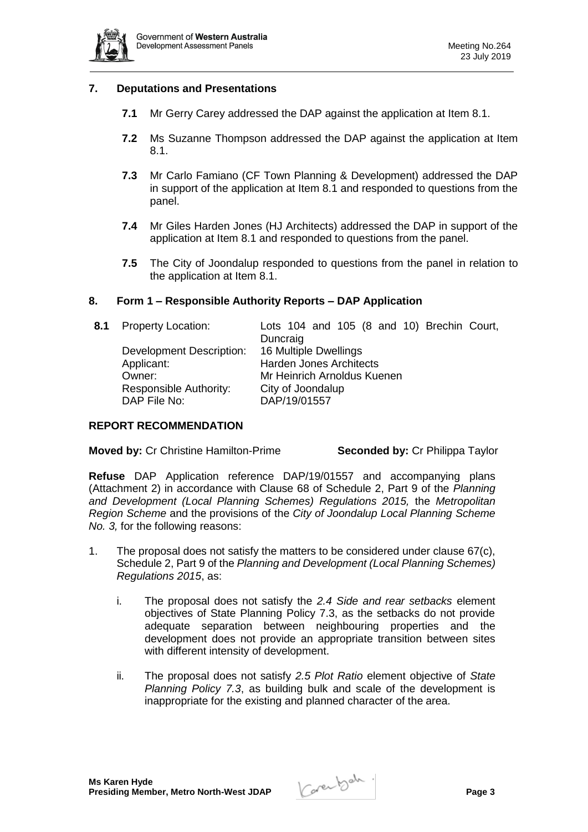

### **7. Deputations and Presentations**

- **7.1** Mr Gerry Carey addressed the DAP against the application at Item 8.1.
- **7.2** Ms Suzanne Thompson addressed the DAP against the application at Item 8.1.
- **7.3** Mr Carlo Famiano (CF Town Planning & Development) addressed the DAP in support of the application at Item 8.1 and responded to questions from the panel.
- **7.4** Mr Giles Harden Jones (HJ Architects) addressed the DAP in support of the application at Item 8.1 and responded to questions from the panel.
- **7.5** The City of Joondalup responded to questions from the panel in relation to the application at Item 8.1.

### **8. Form 1 – Responsible Authority Reports – DAP Application**

| 8.1 Property Location:   | Lots 104 and 105 (8 and 10) Brechin Court, |
|--------------------------|--------------------------------------------|
|                          | Duncraig                                   |
| Development Description: | 16 Multiple Dwellings                      |
| Applicant:               | <b>Harden Jones Architects</b>             |
| Owner:                   | Mr Heinrich Arnoldus Kuenen                |
| Responsible Authority:   | City of Joondalup                          |
| DAP File No:             | DAP/19/01557                               |

#### **REPORT RECOMMENDATION**

**Moved by:** Cr Christine Hamilton-Prime **Seconded by:** Cr Philippa Taylor

**Refuse** DAP Application reference DAP/19/01557 and accompanying plans (Attachment 2) in accordance with Clause 68 of Schedule 2, Part 9 of the *Planning and Development (Local Planning Schemes) Regulations 2015,* the *Metropolitan Region Scheme* and the provisions of the *City of Joondalup Local Planning Scheme No. 3,* for the following reasons:

- 1. The proposal does not satisfy the matters to be considered under clause 67(c), Schedule 2, Part 9 of the *Planning and Development (Local Planning Schemes) Regulations 2015*, as:
	- i. The proposal does not satisfy the *2.4 Side and rear setbacks* element objectives of State Planning Policy 7.3, as the setbacks do not provide adequate separation between neighbouring properties and the development does not provide an appropriate transition between sites with different intensity of development.
	- ii. The proposal does not satisfy *2.5 Plot Ratio* element objective of *State Planning Policy 7.3*, as building bulk and scale of the development is inappropriate for the existing and planned character of the area.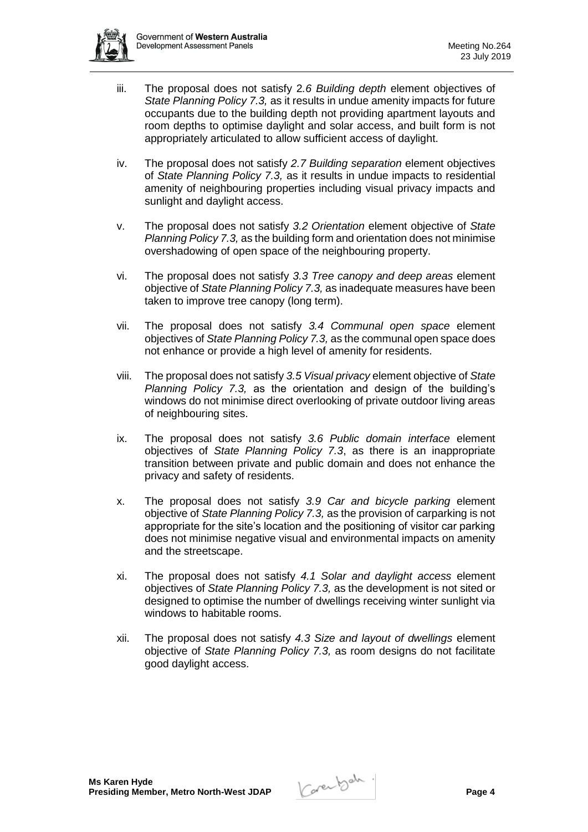

- iii. The proposal does not satisfy 2*.6 Building depth* element objectives of *State Planning Policy 7.3,* as it results in undue amenity impacts for future occupants due to the building depth not providing apartment layouts and room depths to optimise daylight and solar access, and built form is not appropriately articulated to allow sufficient access of daylight.
- iv. The proposal does not satisfy *2.7 Building separation* element objectives of *State Planning Policy 7.3,* as it results in undue impacts to residential amenity of neighbouring properties including visual privacy impacts and sunlight and daylight access.
- v. The proposal does not satisfy *3.2 Orientation* element objective of *State Planning Policy 7.3,* as the building form and orientation does not minimise overshadowing of open space of the neighbouring property.
- vi. The proposal does not satisfy *3.3 Tree canopy and deep areas* element objective of *State Planning Policy 7.3,* as inadequate measures have been taken to improve tree canopy (long term).
- vii. The proposal does not satisfy *3.4 Communal open space* element objectives of *State Planning Policy 7.3,* as the communal open space does not enhance or provide a high level of amenity for residents.
- viii. The proposal does not satisfy *3.5 Visual privacy* element objective of *State Planning Policy 7.3,* as the orientation and design of the building's windows do not minimise direct overlooking of private outdoor living areas of neighbouring sites.
- ix. The proposal does not satisfy *3.6 Public domain interface* element objectives of *State Planning Policy 7.3*, as there is an inappropriate transition between private and public domain and does not enhance the privacy and safety of residents.
- x. The proposal does not satisfy *3.9 Car and bicycle parking* element objective of *State Planning Policy 7.3,* as the provision of carparking is not appropriate for the site's location and the positioning of visitor car parking does not minimise negative visual and environmental impacts on amenity and the streetscape.
- xi. The proposal does not satisfy *4.1 Solar and daylight access* element objectives of *State Planning Policy 7.3,* as the development is not sited or designed to optimise the number of dwellings receiving winter sunlight via windows to habitable rooms.
- xii. The proposal does not satisfy *4.3 Size and layout of dwellings* element objective of *State Planning Policy 7.3,* as room designs do not facilitate good daylight access.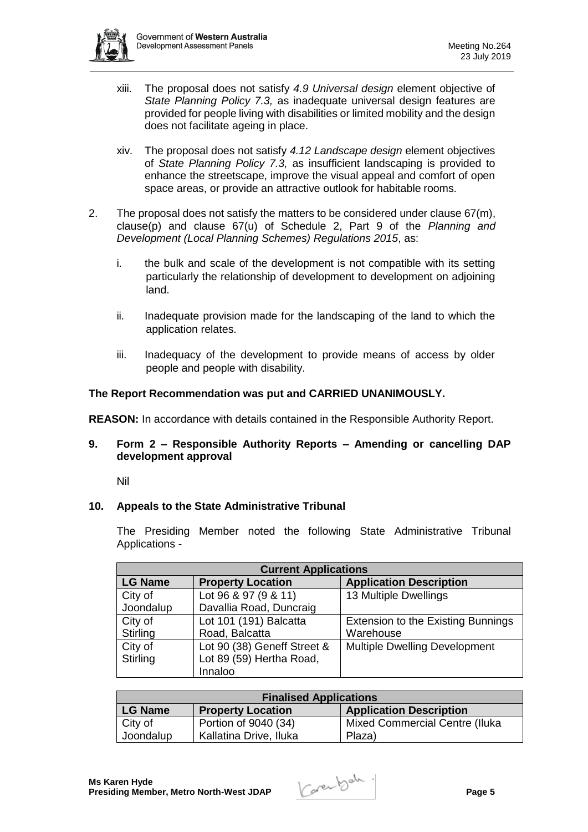

- xiii. The proposal does not satisfy *4.9 Universal design* element objective of *State Planning Policy 7.3,* as inadequate universal design features are provided for people living with disabilities or limited mobility and the design does not facilitate ageing in place.
- xiv. The proposal does not satisfy *4.12 Landscape design* element objectives of *State Planning Policy 7.3,* as insufficient landscaping is provided to enhance the streetscape, improve the visual appeal and comfort of open space areas, or provide an attractive outlook for habitable rooms.
- 2. The proposal does not satisfy the matters to be considered under clause  $67(m)$ , clause(p) and clause 67(u) of Schedule 2, Part 9 of the *Planning and Development (Local Planning Schemes) Regulations 2015*, as:
	- i. the bulk and scale of the development is not compatible with its setting particularly the relationship of development to development on adjoining land.
	- ii. Inadequate provision made for the landscaping of the land to which the application relates.
	- iii. Inadequacy of the development to provide means of access by older people and people with disability.

# **The Report Recommendation was put and CARRIED UNANIMOUSLY.**

**REASON:** In accordance with details contained in the Responsible Authority Report.

# **9. Form 2 – Responsible Authority Reports – Amending or cancelling DAP development approval**

Nil

# **10. Appeals to the State Administrative Tribunal**

The Presiding Member noted the following State Administrative Tribunal Applications -

| <b>Current Applications</b> |                             |                                           |  |  |
|-----------------------------|-----------------------------|-------------------------------------------|--|--|
| <b>LG Name</b>              | <b>Property Location</b>    | <b>Application Description</b>            |  |  |
| City of                     | Lot 96 & 97 (9 & 11)        | 13 Multiple Dwellings                     |  |  |
| Joondalup                   | Davallia Road, Duncraig     |                                           |  |  |
| City of                     | Lot 101 (191) Balcatta      | <b>Extension to the Existing Bunnings</b> |  |  |
| Stirling                    | Road, Balcatta              | Warehouse                                 |  |  |
| City of                     | Lot 90 (38) Geneff Street & | <b>Multiple Dwelling Development</b>      |  |  |
| Stirling                    | Lot 89 (59) Hertha Road,    |                                           |  |  |
|                             | Innaloo                     |                                           |  |  |

| <b>Finalised Applications</b> |                          |                                       |  |  |
|-------------------------------|--------------------------|---------------------------------------|--|--|
| LG Name                       | <b>Property Location</b> | <b>Application Description</b>        |  |  |
| City of                       | Portion of 9040 (34)     | <b>Mixed Commercial Centre (Iluka</b> |  |  |
| Joondalup                     | Kallatina Drive, Iluka   | Plaza)                                |  |  |